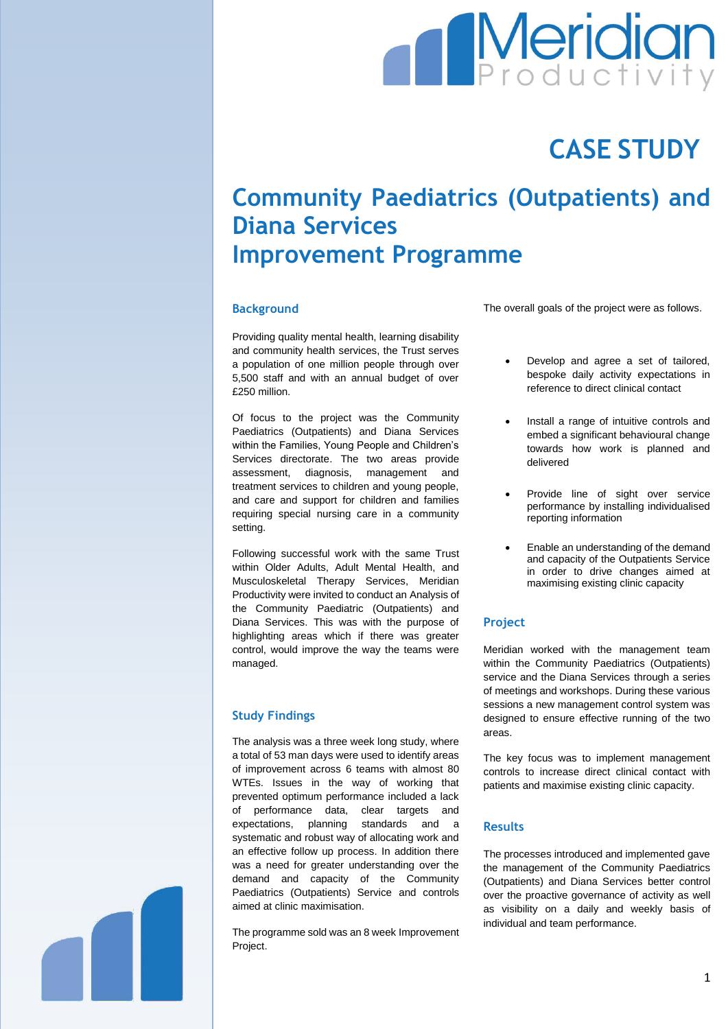

# **CASE STUDY**

# **Community Paediatrics (Outpatients) and Diana Services Improvement Programme**

#### **Background**

Providing quality mental health, learning disability and community health services, the Trust serves a population of one million people through over 5,500 staff and with an annual budget of over £250 million.

Of focus to the project was the Community Paediatrics (Outpatients) and Diana Services within the Families, Young People and Children's Services directorate. The two areas provide assessment, diagnosis, management and treatment services to children and young people, and care and support for children and families requiring special nursing care in a community setting.

Following successful work with the same Trust within Older Adults, Adult Mental Health, and Musculoskeletal Therapy Services, Meridian Productivity were invited to conduct an Analysis of the Community Paediatric (Outpatients) and Diana Services. This was with the purpose of highlighting areas which if there was greater control, would improve the way the teams were managed.

#### **Study Findings**

The analysis was a three week long study, where a total of 53 man days were used to identify areas of improvement across 6 teams with almost 80 WTEs. Issues in the way of working that prevented optimum performance included a lack of performance data, clear targets and expectations, planning standards and a systematic and robust way of allocating work and an effective follow up process. In addition there was a need for greater understanding over the demand and capacity of the Community Paediatrics (Outpatients) Service and controls aimed at clinic maximisation.

The programme sold was an 8 week Improvement Project.

The overall goals of the project were as follows.

- Develop and agree a set of tailored, bespoke daily activity expectations in reference to direct clinical contact
- Install a range of intuitive controls and embed a significant behavioural change towards how work is planned and delivered
- Provide line of sight over service performance by installing individualised reporting information
- Enable an understanding of the demand and capacity of the Outpatients Service in order to drive changes aimed at maximising existing clinic capacity

# **Project**

Meridian worked with the management team within the Community Paediatrics (Outpatients) service and the Diana Services through a series of meetings and workshops. During these various sessions a new management control system was designed to ensure effective running of the two areas.

The key focus was to implement management controls to increase direct clinical contact with patients and maximise existing clinic capacity.

#### **Results**

The processes introduced and implemented gave the management of the Community Paediatrics (Outpatients) and Diana Services better control over the proactive governance of activity as well as visibility on a daily and weekly basis of individual and team performance.